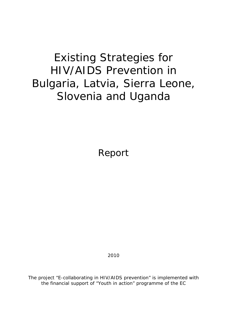# Existing Strategies for HIV/AIDS Prevention in Bulgaria, Latvia, Sierra Leone, Slovenia and Uganda

Report

2010

The project "E-collaborating in HIV/AIDS prevention" is implemented with the financial support of "Youth in action" programme of the EC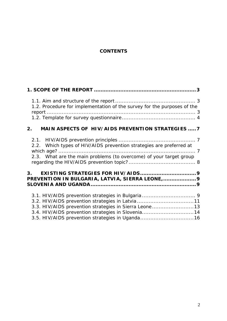#### **CONTENTS**

| 1.2. Procedure for implementation of the survey for the purposes of the                                                                                                                                           |
|-------------------------------------------------------------------------------------------------------------------------------------------------------------------------------------------------------------------|
| MAIN ASPECTS OF HIV/AIDS PREVENTION STRATEGIES  7<br>2 <sub>1</sub>                                                                                                                                               |
| 2.2. Which types of HIV/AIDS prevention strategies are preferred at<br>2.3. What are the main problems (to overcome) of your target group                                                                         |
| PREVENTION IN BULGARIA, LATVIA, SIERRA LEONE,  9                                                                                                                                                                  |
| 3.2. HIV/AIDS prevention strategies in Latvia 11<br>3.3. HIV/AIDS prevention strategies in Sierra Leone13<br>3.4. HIV/AIDS prevention strategies in Slovenia14<br>3.5. HIV/AIDS prevention strategies in Uganda16 |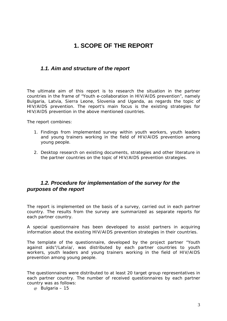## **1. SCOPE OF THE REPORT**

#### *1.1. Aim and structure of the report*

The ultimate aim of this report is to research the situation in the partner countries in the frame of "Youth e-collaboration in HIV/AIDS prevention", namely Bulgaria, Latvia, Sierra Leone, Slovenia and Uganda, as regards the topic of HIV/AIDS prevention. The report's main focus is the existing strategies for HIV/AIDS prevention in the above mentioned countries.

The report combines:

- 1. Findings from implemented survey within youth workers, youth leaders and young trainers working in the field of HIV/AIDS prevention among young people.
- 2. Desktop research on existing documents, strategies and other literature in the partner countries on the topic of HIV/AIDS prevention strategies.

#### *1.2. Procedure for implementation of the survey for the purposes of the report*

The report is implemented on the basis of a survey, carried out in each partner country. The results from the survey are summarized as separate reports for each partner country.

A special questionnaire has been developed to assist partners in acquiring information about the existing HIV/AIDS prevention strategies in their countries.

The template of the questionnaire, developed by the project partner "Youth against aids"/Latvia/, was distributed by each partner countries to youth workers, youth leaders and young trainers working in the field of HIV/AIDS prevention among young people.

The questionnaires were distributed to at least 20 target group representatives in each partner country. The number of received questionnaires by each partner country was as follows:

@ Bulgaria – 15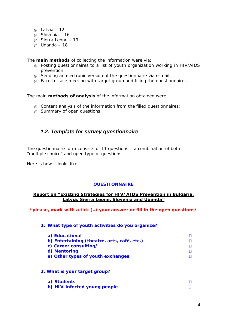- $\omega$  Latvia 12
- @ Slovenia 16
- @ Sierra Leone 19
- @ Uganda 18

The **main methods** of collecting the information were via:

- @ Posting questionnaires to a list of youth organization working in HIV/AIDS prevention;
- $\varphi$  Sending an electronic version of the questionnaire via e-mail;
- @ Face-to-face meeting with target group and filling the questionnaires.

The main **methods of analysis** of the information obtained were:

- @ Content analysis of the information from the filled questionnaires;
- @ Summary of open questions;

#### *1.2. Template for survey questionnaire*

The questionnaire form consists of 11 questions – a combination of both "multiple choice" and open type of questions.

Here is how it looks like:

#### **QUESTIONNAIRE**

#### **Report on "Existing Strategies for HIV/AIDS Prevention in Bulgaria, Latvia, Sierra Leone, Slovenia and Uganda"**

**/please, mark with a tick (**∨**) your answer or fill in the open questions/** 

|  |  |  |  | 1. What type of youth activities do you organize? |  |  |  |
|--|--|--|--|---------------------------------------------------|--|--|--|
|--|--|--|--|---------------------------------------------------|--|--|--|

| a) Educational                              |  |
|---------------------------------------------|--|
| b) Entertaining (theatre, arts, café, etc.) |  |
| c) Career consulting/                       |  |
| d) Mentoring                                |  |
| e) Other types of youth exchanges           |  |

**2. What is your target group?** 

| a) Students                  |  |
|------------------------------|--|
| b) HIV-infected young people |  |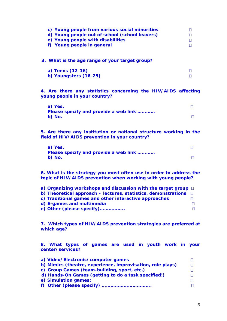| c) Young people from various social minorities<br>d) Young people out of school (school leavers)                   | П<br>П      |
|--------------------------------------------------------------------------------------------------------------------|-------------|
| e) Young people with disabilities<br>f) Young people in general                                                    | П<br>$\Box$ |
| 3. What is the age range of your target group?                                                                     |             |
| a) Teens (12-16)                                                                                                   | П           |
| b) Youngsters (16-25)                                                                                              | П           |
| 4. Are there any statistics concerning the HIV/AIDS affecting<br>young people in your country?                     |             |
| a) Yes.                                                                                                            | П           |
| Please specify and provide a web link<br>b) No.                                                                    | П           |
| 5. Are there any institution or national structure working in the<br>field of HIV/AIDS prevention in your country? |             |

| a) Yes.                               |  |
|---------------------------------------|--|
| Please specify and provide a web link |  |
| $b)$ No.                              |  |

**6. What is the strategy you most often use in order to address the topic of HIV/AIDS prevention when working with young people?** 

| a) Organizing workshops and discussion with the target group $\Box$      |        |
|--------------------------------------------------------------------------|--------|
| b) Theoretical approach – lectures, statistics, demonstrations $\square$ |        |
| c) Traditional games and other interactive approaches                    |        |
| d) E-games and multimedia                                                |        |
| e) Other (please specify)                                                | $\Box$ |

**7. Which types of HIV/AIDS prevention strategies are preferred at which age?** 

**8. What types of games are used in youth work in your center/services?** 

| a) Video/Electronic/computer games                         |        |
|------------------------------------------------------------|--------|
| b) Mimics (theatre, experience, improvisation, role plays) | $\Box$ |
| c) Group Games (team-building, sport, etc.)                | П.     |
| d) Hands-On Games (getting to do a task specified!)        |        |
| e) Simulation games;                                       |        |
|                                                            | п      |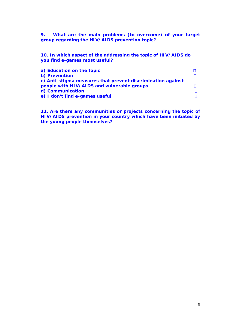**9. What are the main problems (to overcome) of your target group regarding the HIV/AIDS prevention topic?** 

**10. In which aspect of the addressing the topic of HIV/AIDS do you find e-games most useful?** 

| a) Education on the topic                                   |  |
|-------------------------------------------------------------|--|
| b) Prevention                                               |  |
| c) Anti-stigma measures that prevent discrimination against |  |
| people with HIV/AIDS and vulnerable groups                  |  |
| d) Communication                                            |  |
| e) I don't find e-games useful                              |  |

**11. Are there any communities or projects concerning the topic of HIV/AIDS prevention in your country which have been initiated by the young people themselves?**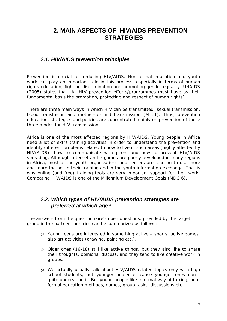## **2. MAIN ASPECTS OF HIV/AIDS PREVENTION STRATEGIES**

#### *2.1. HIV/AIDS prevention principles*

Prevention is crucial for reducing HIV/AIDS. Non-formal education and youth work can play an important role in this process, especially in terms of human rights education, fighting discrimination and promoting gender equality. UNAIDS (2005) states that "All HIV prevention efforts/programmes must have as their fundamental basis the promotion, protecting and respect of human rights".

There are three main ways in which HIV can be transmitted: sexual transmission, blood transfusion and mother-to-child transmission (MTCT). Thus, prevention education, strategies and policies are concentrated mainly on prevention of these three modes for HIV transmission.

Africa is one of the most affected regions by HIV/AIDS. Young people in Africa need a lot of extra training activities in order to understand the prevention and identify different problems related to how to live in such areas (highly affected by HIV/AIDS), how to communicate with peers and how to prevent HIV/AIDS spreading. Although Internet and e-games are poorly developed in many regions in Africa, most of the youth organizations and centers are starting to use more and more the net in their training and in the youth information exchange. That is why online (and free) training tools are very important support for their work. Combating HIV/AIDS is one of the Millennium Development Goals (MDG 6).

#### *2.2. Which types of HIV/AIDS prevention strategies are preferred at which age?*

The answers from the questionnaire's open questions, provided by the target group in the partner countries can be summarized as follows:

- $\varphi$  Young teens are interested in something active sports, active games, also art activities (drawing, painting etc.).
- $\omega$  Older ones (16-18) still like active things, but they also like to share their thoughts, opinions, discuss, and they tend to like creative work in groups.
- @ We actually usually talk about HIV/AIDS related topics only with high school students, not younger audience, cause younger ones don`t quite understand it. But young people like informal way of talking, nonformal education methods, games, group tasks, discussions etc.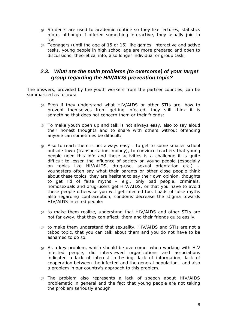- @ Students are used to academic routine so they like lectures, statistics more, although if offered something interactive, they usually join in too.
- @ Teenagers (until the age of 15 or 16) like games, interactive and active tasks, young people in high school age are more prepared and open to discussions, theoretical info, also longer individual or group tasks

#### *2.3. What are the main problems (to overcome) of your target group regarding the HIV/AIDS prevention topic?*

The answers, provided by the youth workers from the partner counties, can be summarized as follows:

- @ Even if they understand what HIV/AIDS or other STIs are, how to prevent themselves from getting infected, they still think it is something that does not concern them or their friends;
- @ To make youth open up and talk is not always easy, also to say aloud their honest thoughts and to share with others without offending anyone can sometimes be difficult;
- @ Also to reach them is not always easy to get to some smaller school outside town (transportation, money), to convince teachers that young people need this info and these activities is a challenge it is quite difficult to lessen the influence of society on young people (especially on topics like HIV/AIDS, drug-use, sexual orientation etc.) – youngsters often say what their parents or other close people think about these topics, they are hesitant to say their own opinion, thoughts to get rid of false myths – e.g., only bad people, criminals, homosexuals and drug-users get HIV/AIDS, or that you have to avoid these people otherwise you will get infected too. Loads of false myths also regarding contraception, condoms decrease the stigma towards HIV/AIDS infected people;
- @ to make them realize, understand that HIV/AIDS and other STIs are not far away, that they can affect them and their friends quite easily;
- @ to make them understand that sexuality, HIV/AIDS and STIs are not a taboo topic, that you can talk about them and you do not have to be ashamed to do so.
- $\varphi$  As a key problem, which should be overcome, when working with HIV infected people, did interviewed organizations and associations indicated a lack of interest in testing, lack of information, lack of cooperation between the infected and the general population, and also a problem in our country's approach to this problem.
- @ The problem also represents a lack of speech about HIV/AIDS problematic in general and the fact that young people are not taking the problem seriously enough.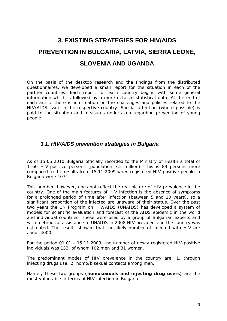# **3. EXISTING STRATEGIES FOR HIV/AIDS PREVENTION IN BULGARIA, LATVIA, SIERRA LEONE, SLOVENIA AND UGANDA**

On the basis of the desktop research and the findings from the distributed questionnaires, we developed a small report for the situation in each of the partner countries. Each report for each country begins with some general information which is followed by a more detailed statistical data. At the end of each article there is information on the challenges and policies related to the HIV/AIDS issue in the respective country. Special attention (where possible) is paid to the situation and measures undertaken regarding prevention of young people.

#### *3.1. HIV/AIDS prevention strategies in Bulgaria*

As of 15.05.2010 Bulgaria officially recorded to the Ministry of Health a total of 1160 HIV-positive persons (population 7.5 million). This is 89 persons more compared to the results from 15.11.2009 when registered HIV-positive people in Bulgaria were 1071.

This number, however, does not reflect the real picture of HIV prevalence in the country. One of the main features of HIV infection is the absence of symptoms for a prolonged period of time after infection (between 5 and 10 years), so a significant proportion of the infected are unaware of their status. Over the past two years the UN Program on HIV/AIDS (UNAIDS) has developed a system of models for scientific evaluation and forecast of the AIDS epidemic in the world and individual countries. These were used by a group of Bulgarian experts and with methodical assistance to UNAIDS in 2008 HIV prevalence in the country was estimated. The results showed that the likely number of infected with HIV are about 4000.

For the period 01.01 - 15.11.2009, the number of newly registered HIV-positive individuals was 133, of whom 102 men and 31 women.

The predominant modes of HIV prevalence in the country are: 1. through injecting drugs use; 2. homo/bisexual contacts among men.

Namely these two groups **(homosexuals and injecting drug users)** are the most vulnerable in terms of HIV infection in Bulgaria.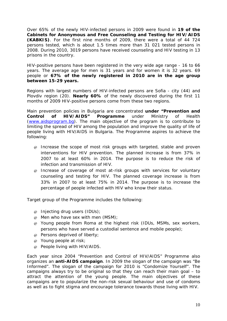Over 65% of the newly HIV-infected persons in 2009 were found in **19 of the Cabinets for Anonymous and Free Counseling and Testing for HIV/AIDS (KABKIS)**. For the first nine months of 2009, there were a total of 44 724 persons tested, which is about 1.5 times more than 31 021 tested persons in 2008. During 2010, 3019 persons have received counseling and HIV testing in 13 prisons in the country.

HIV-positive persons have been registered in the very wide age range - 16 to 66 years. The average age for men is 31 years and for women it is 32 years. 69 people or **67% of the newly registered in 2010 are in the age group between 15-29 years.**

Regions with largest numbers of HIV-infected persons are Sofia - city (44) and Plovdiv region (20). **Nearly 60%** of the newly discovered during the first 11 months of 2009 HIV-positive persons come from these two regions.

Main prevention policies in Bulgaria are concentrated **under "Prevention and Control of HIV/AIDS" Programme** under Ministry of Health (www.aidsprogram.bg). The main objective of the program is to contribute to limiting the spread of HIV among the population and improve the quality of life of people living with HIV/AIDS in Bulgaria. The Programme aspires to achieve the following:

- @ Increase the scope of most risk groups with targeted, stable and proven interventions for HIV prevention. The planned increase is from 37% in 2007 to at least 60% in 2014. The purpose is to reduce the risk of infection and transmission of HIV.
- @ Increase of coverage of most at-risk groups with services for voluntary counseling and testing for HIV. The planned coverage increase is from 33% in 2007 to at least 75% in 2014. The purpose is to increase the percentage of people infected with HIV who know their status.

Target group of the Programme includes the following:

- @ Injecting drug users (IDUs);
- $\omega$  Men who have sex with men (MSM);
- @ Young people from Roma at the highest risk (IDUs, MSMs, sex workers, persons who have served a custodial sentence and mobile people);
- @ Persons deprived of liberty;
- @ Young people at risk;
- @ People living with HIV/AIDS.

Each year since 2004 "Prevention and Control of HIV/AIDS" Programme also organizes an **anti-AIDS campaign**. In 2009 the slogan of the campaign was "Be Informed". The slogan of the campaign for 2010 is "Condomize Yourself". The campaigns always try to be original so that they can reach their main goal – to attract the attention of the young people. The main objectives of these campaigns are to popularize the non-risk sexual behaviour and use of condoms as well as to fight stigma and encourage tolerance towards those living with HIV.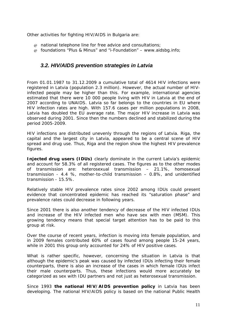Other activities for fighting HIV/AIDS in Bulgaria are:

- $\varphi$  national telephone line for free advice and consultations;
- $\omega$  foundations "Plus & Minus" and "i-Foundation" www.aidsbg.info;

#### *3.2. HIV/AIDS prevention strategies in Latvia*

From 01.01.1987 to 31.12.2009 a cumulative total of 4614 HIV infections were registered in Latvia (population 2.3 million). However, the actual number of HIVinfected people may be higher than this. For example, international agencies estimated that there were 10 000 people living with HIV in Latvia at the end of 2007 according to UNAIDS. Latvia so far belongs to the countries in EU where HIV infection rates are high. With 157.6 cases per million populations in 2008, Latvia has doubled the EU average rate. The major HIV increase in Latvia was observed during 2001. Since then the numbers declined and stabilized during the period 2005-2009.

HIV infections are distributed unevenly through the regions of Latvia. Riga, the capital and the largest city in Latvia, appeared to be a central scene of HIV spread and drug use. Thus, Riga and the region show the highest HIV prevalence figures.

**Injected drug users (IDUs)** clearly dominate in the current Latvia's epidemic and account for 58.3% of all registered cases. The figures as to the other modes of transmission are: heterosexual transmission – 21.1%, homosexual transmission - 4.4 %, mother-to-child transmission – 0.8%, and unidentified transmission - 15.5%.

Relatively stable HIV prevalence rates since 2002 among IDUs could present evidence that concentrated epidemic has reached its "saturation phase" and prevalence rates could decrease in following years.

Since 2001 there is also another tendency of decrease of the HIV infected IDUs and increase of the HIV infected men who have sex with men (MSM). This growing tendency means that special target attention has to be paid to this group at risk.

Over the course of recent years, infection is moving into female population, and in 2009 females contributed 60% of cases found among people 15-24 years, while in 2001 this group only accounted for 24% of HIV positive cases.

What is rather specific, however, concerning the situation in Latvia is that although the epidemic's peak was caused by infected IDUs infecting their female counterparts, there is also an increase of the cases in which female IDUs infect their male counterparts. Thus, these infections would more accurately be categorized as sex with IDU partners and not just as heterosexual transmission.

Since 1993 **the national HIV/AIDS prevention policy** in Latvia has been developing. The national HIV/AIDS policy is based on the national Public Health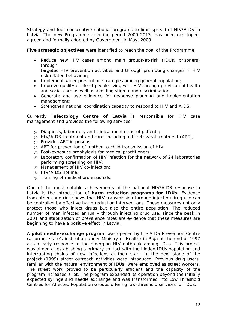Strategy and four consecutive national programs to limit spread of HIV/AIDS in Latvia. The new Programme covering period 2009-2013, has been developed, agreed and formally adopted by Government in May, 2009.

**Five strategic objectives** were identified to reach the goal of the Programme:

• Reduce new HIV cases among main groups-at-risk (IDUs, prisoners) through

targeted HIV prevention activities and through promoting changes in HIV risk related behaviour;

- Implement wider prevention strategies among general population;
- Improve quality of life of people living with HIV through provision of health and social care as well as avoiding stigma and discrimination;
- Generate and use evidence for response planning and implementation management;
- Strengthen national coordination capacity to respond to HIV and AIDS.

Currently **Infectology Centre of Latvia** is responsible for HIV case management and provides the following services:

- @ Diagnosis, laboratory and clinical monitoring of patients;
- $\omega$  HIV/AIDS treatment and care, including anti-retroviral treatment (ART);
- @ Provides ART in prisons;
- $\varpi$  ART for prevention of mother-to-child transmission of HIV;
- @ Post-exposure prophylaxis for medical practitioners;
- @ Laboratory confirmation of HIV infection for the network of 24 laboratories performing screening on HIV;
- @ Management of HIV co-infection;
- @ HIV/AIDS hotline;
- @ Training of medical professionals.

One of the most notable achievements of the national HIV/AIDS response in Latvia is the introduction of **harm reduction programs for IDUs**. Evidence from other countries shows that HIV transmission through injecting drug use can be controlled by effective harm reduction interventions. These measures not only protect those who inject drugs but also the entire population. The reduced number of men infected annually through injecting drug use, since the peak in 2001 and stabilization of prevalence rates are evidence that these measures are beginning to have a positive effect in Latvia.

A **pilot needle-exchange program** was opened by the AIDS Prevention Centre (a former state's institution under Ministry of Health) in Riga at the end of 1997 as an early response to the emerging HIV outbreak among IDUs. This project was aimed at establishing a primary contact with the hidden IDUs population and interrupting chains of new infections at their start. In the next stage of the project (1999) street outreach activities were introduced. Previous drug users, familiar with the natural environment of IDUs, were employed as street workers. The street work proved to be particularly efficient and the capacity of the program increased a lot. The program expanded its operation beyond the initially expected syringe and needle exchange and was transformed into Low Threshold Centres for Affected Population Groups offering low-threshold services for IDUs.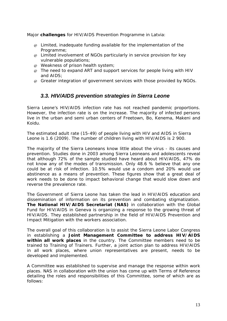Major **challenges** for HIV/AIDS Prevention Programme in Latvia:

- $\varphi$  Limited, inadequate funding available for the implementation of the Programme;
- @ Limited involvement of NGOs particularly in service provision for key vulnerable populations;
- @ Weakness of prison health system;
- $\varphi$  The need to expand ART and support services for people living with HIV and AIDS;
- @ Greater integration of government services with those provided by NGOs.

#### *3.3. HIV/AIDS prevention strategies in Sierra Leone*

Sierra Leone's HIV/AIDS infection rate has not reached pandemic proportions. However, the infection rate is on the increase. The majority of infected persons live in the urban and semi urban centers of Freetown, Bo, Kenema, Makeni and Koidu.

The estimated adult rate (15-49) of people living with HIV and AIDS in Sierra Leone is 1.6 (2009). The number of children living with HIV/AIDS is 2 900.

The majority of the Sierra Leoneans know little about the virus - its causes and prevention. Studies done in 2003 among Sierra Leoneans and adolescents reveal that although 72% of the sample studied have heard about HIV/AIDS, 47% do not know any of the modes of transmission. Only 48.6 % believe that any one could be at risk of infection. 10.5% would use a condom and 20% would use abstinence as a means of prevention. These figures show that a great deal of work needs to be done to impact behavioral change that would slow down and reverse the prevalence rate.

The Government of Sierra Leone has taken the lead in HIV/AIDS education and dissemination of information on its prevention and combating stigmatization. **The National HIV/AIDS Secretariat (NAS)** in collaboration with the Global Fund for HIV/AIDS in Geneva is organizing a response to the growing threat of HIV/AIDS. They established partnership in the field of HIV/AIDS Prevention and Impact Mitigation with the workers association.

The overall goal of this collaboration is to assist the Sierra Leone Labor Congress in establishing a **Joint Management Committee to address HIV/AIDS within all work places** in the country. The Committee members need to be trained to Training of Trainers. Further, a joint action plan to address HIV/AIDS in all work places, where union representatives are present, needs to be developed and implemented.

A Committee was established to supervise and manage the response within work places. NAS in collaboration with the union has come up with Terms of Reference detailing the roles and responsibilities of this Committee, some of which are as follows: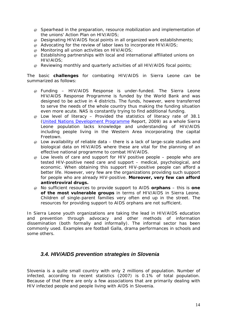- @ Spearhead in the preparation, resource mobilization and implementation of the unions' Action Plan on HIV/AIDS;
- @ Designating HIV/AIDS focal points in all organized work establishments;
- $\omega$  Advocating for the review of labor laws to incorporate HIV/AIDS;
- @ Monitoring all union activities on HIV/AIDS;
- @ Establishing partnerships with local and international affiliated unions on HIV/AIDS;
- @ Reviewing monthly and quarterly activities of all HIV/AIDS focal points;

The basic **challenges** for combating HIV/AIDS in Sierra Leone can be summarized as follows:

- $\varpi$  Funding HIV/AIDS Response is under-funded. The Sierra Leone HIV/AIDS Response Programme is funded by the World Bank and was designed to be active in 4 districts. The funds, however, were transferred to serve the needs of the whole country thus making the funding situation even more acute. NAS is constantly trying to find additional funding.
- @ Low level of literacy Provided the statistics of literacy rate of 38.1 (United Nations Development Programme Report, 2009) as a whole Sierra Leone population lacks knowledge and understanding of HIV/AIDS including people living in the Western Area incorporating the capital Freetown.
- $\varphi$  Low availability of reliable data there is a lack of large-scale studies and biological data on HIV/AIDS where these are vital for the planning of an effective national programme to combat HIV/AIDS.
- $\varphi$  Low levels of care and support for HIV positive people people who are tested HIV-positive need care and support – medical, psychological, and economic. When obtaining this support HIV-positive people can afford a better life. However, very few are the organizations providing such support for people who are already HIV-positive. **Moreover, very few can afford antiretroviral drugs.**
- @ No sufficient resources to provide support to AIDS **orphans** this is **one of the most vulnerable groups** in terms of HIV/AIDS in Sierra Leone. Children of single-parent families very often end up in the street. The resources for providing support to AIDS orphans are not sufficient.

In Sierra Leone youth organizations are taking the lead in HIV/AIDS education and prevention through advocacy and other methods of information dissemination (both formally and informally). The informal sector has been commonly used. Examples are football Galla, drama performances in schools and some others.

#### *3.4. HIV/AIDS prevention strategies in Slovenia*

Slovenia is a quite small country with only 2 millions of population. Number of infected, according to recent statistics (2007) is 0.1% of total population. Because of that there are only a few associations that are primarily dealing with HIV infected people and people living with AIDS in Slovenia.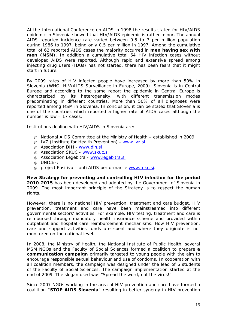At the International Conference on AIDS in 1998 the results stated for HIV/AIDS epidemic in Slovenia showed that HIV/AIDS epidemic is rather minor. The annual AIDS reported incidence rate varied between 0.5 to 7 per million population during 1986 to 1997, being only 0.5 per million in 1997. Among the cumulative total of 62 reported AIDS cases the majority occurred in **men having sex with men (MSM)**. In addition a cumulative total 64 HIV infection cases without developed AIDS were reported. Although rapid and extensive spread among injecting drug users (IDUs) has not started, there has been fears that it might start in future.

By 2009 rates of HIV infected people have increased by more than 50% in Slovenia (WHO, HIV/AIDS Surveillance in Europe, 2009). Slovenia is in Central Europe and according to the same report the epidemic in Central Europe is characterized by its heterogeneity, with different transmission modes predominating in different countries. More than 50% of all diagnoses were reported among MSM in Slovenia. In conclusion, it can be stated that Slovenia is one of the countries which reported a higher rate of AIDS cases although the number is low – 17 cases.

Institutions dealing with HIV/AIDS in Slovenia are:

- $\omega$  National AIDS Committee at the Ministry of Health established in 2009:
- @ IVZ (Institute for Health Prevention) www.ivz.si
- @ Association DIH www.dih.si
- @ Association SKUC www.skuc.si
- @ Association Legebitra www.legebitra.si
- @ UNICEF;
- $\varphi$  project Positivo anti AIDS performance www.mkc.si.

**New Strategy for preventing and controlling HIV infection for the period 2010-2015** has been developed and adopted by the Government of Slovenia in 2009. The most important principle of the Strategy is to respect the human rights.

However, there is no national HIV prevention, treatment and care budget. HIV prevention, treatment and care have been mainstreamed into different governmental sectors' activities. For example, HIV testing, treatment and care is reimbursed through mandatory health insurance scheme and provided within outpatient and hospital care reimbursement mechanisms. How HIV prevention, care and support activities funds are spent and where they originate is not monitored on the national level.

In 2008, the Ministry of Health, the National Institute of Public Health, several MSM NGOs and the Faculty of Social Sciences formed a coalition to prepare **a communication campaign** primarily targeted to young people with the aim to encourage responsible sexual behaviour and use of condoms. In cooperation with all coalition members, the campaign was designed under the lead of 6 students of the Faculty of Social Sciences. The campaign implementation started at the end of 2009. The slogan used was "Spread the word, not the virus!".

Since 2007 NGOs working in the area of HIV prevention and care have formed a coallition **"STOP AIDS Slovenia"** resulting in better synergy in HIV prevention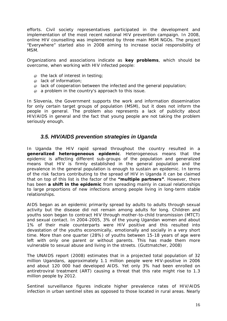efforts. Civil society representatives participated in the development and implementation of the most recent national HIV prevention campaign. In 2008, online HIV counselling was implemented by three main MSM NGOs. The project "Everywhere" started also in 2008 aiming to increase social responsibility of MSM.

Organizations and associations indicate as **key problems**, which should be overcome, when working with HIV infected people:

- $\varpi$  the lack of interest in testing;
- @ lack of information;
- $\omega$  lack of cooperation between the infected and the general population;
- @ a problem in the country's approach to this issue.

In Slovenia, the Government supports the work and information dissemination for only certain target groups of population (MSM), but it does not inform the people in general. The problem also represents a lack of publicity about HIV/AIDS in general and the fact that young people are not taking the problem seriously enough.

#### *3.5. HIV/AIDS prevention strategies in Uganda*

In Uganda the HIV rapid spread throughout the country resulted in a **generalized heterogeneous epidemic**. Heterogeneous means that the epidemic is affecting different sub-groups of the population and generalized means that HIV is firmly established in the general population and the prevalence in the general population is enough to sustain an epidemic. In terms of the risk factors contributing to the spread of HIV in Uganda it can be claimed that on top of this list is the factor of the **"multiple partners"**. However, there has been **a shift in the epidemic** from spreading mainly in casual relationships to large proportions of new infections among people living in long-term stable relationships.

AIDS began as an epidemic primarily spread by adults to adults through sexual activity but the disease did not remain among adults for long. Children and youths soon began to contract HIV through mother-to-child transmission (MTCT) and sexual contact. In 2004-2005, 3% of the young Ugandan women and about 1% of their male counterparts were HIV positive and this resulted into devastation of the youths economically, emotionally and socially in a very short time. More than one quarter (28%) of youths between 15-18 years of age were left with only one parent or without parents. This has made them more vulnerable to sexual abuse and living in the streets. (Guttmatcher, 2008)

The UNAIDS report (2008) estimates that in a projected total population of 32 million Ugandans, approximately 1.1 million people were HIV-positive in 2006 and about 120 000 had developed AIDS. Yet only 3% had been enrolled on antiretroviral treatment (ART) causing a threat that this rate might rise to 1.3 million people by 2012.

Sentinel surveillance figures indicate higher prevalence rates of HIV/AIDS infection in urban sentinel sites as opposed to those located in rural areas. Nearly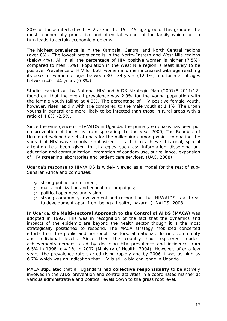80% of those infected with HIV are in the 15 - 45 age group. This group is the most economically productive and often takes care of the family which fact in turn leads to certain economic problems.

The highest prevalence is in the Kampala, Central and North Central regions (over 8%). The lowest prevalence is in the North-Eastern and West Nile regions (below 4%). All in all the percentage of HIV positive women is higher (7.5%) compared to men (5%). Population in the West Nile region is least likely to be positive. Prevalence of HIV for both women and men increased with age reaching its peak for women at ages between 30 - 34 years (12.1%) and for men at ages between 40 - 44 years (9.3%).

Studies carried out by National HIV and AIDS Strategic Plan (2007/8-2011/12) found out that the overall prevalence was 2.9% for the young population with the female youth falling at 4.3%. The percentage of HIV positive female youth, however, rises rapidly with age compared to the male youth at 1.1%. The urban youths in general are more likely to be infected than those in rural areas with a ratio of 4.8% -2.5%.

Since the emergence of HIV/AIDS in Uganda, the primary emphasis has been put on prevention of the virus from spreading. In the year 2000, The Republic of Uganda developed a set of goals for the millennium among which combating the spread of HIV was strongly emphasized. In a bid to achieve this goal, special attention has been given to strategies such as: information dissemination, education and communication, promotion of condom use, surveillance, expansion of HIV screening laboratories and patient care services, (UAC, 2008).

Uganda's response to HIV/AIDS is widely viewed as a model for the rest of sub-Saharan Africa and comprises:

- @ strong public commitment;
- @ mass mobilization and education campaigns;
- @ political openness and vision;
- @ strong community involvement and recognition that HIV/AIDS is a threat to development apart from being a healthy hazard. (UNAIDS, 2008).

In Uganda, the **Multi-sectoral Approach to the Control of AIDS (MACA)** was adopted in 1992. This was in recognition of the fact that the dynamics and impacts of the epidemic are beyond the health sector though it is the most strategically positioned to respond. The MACA strategy mobilized concerted efforts from the public and non-public sectors, at national, district, community and individual levels. Since then the country had registered modest achievements demonstrated by declining HIV prevalence and incidence from 6.5% in 1998 to 4.1% in 2002 (Ministry of Health, 2004). However, after a few years, the prevalence rate started rising rapidly and by 2006 it was as high as 6.7% which was an indication that HIV is still a big challenge in Uganda.

MACA stipulated that all Ugandans had **collective responsibility** to be actively involved in the AIDS prevention and control activities in a coordinated manner at various administrative and political levels down to the grass root level.